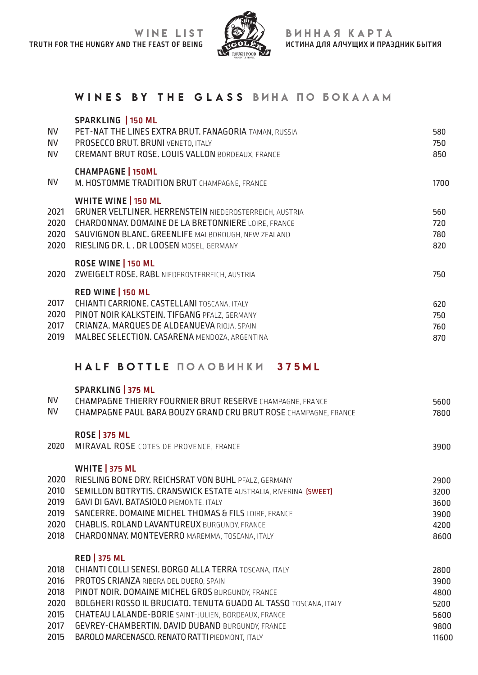

### WINES BY THE GLASS ВИНА ПО БОКАЛАМ

| <b>NV</b><br><b>NV</b><br><b>NV</b> | <b>SPARKLING   150 ML</b><br>PET-NAT THE LINES EXTRA BRUT. FANAGORIA TAMAN, RUSSIA<br>PROSECCO BRUT. BRUNI VENETO, ITALY<br><b>CREMANT BRUT ROSE, LOUIS VALLON BORDEAUX, FRANCE</b>                                                                          | 580<br>750<br>850        |
|-------------------------------------|--------------------------------------------------------------------------------------------------------------------------------------------------------------------------------------------------------------------------------------------------------------|--------------------------|
| <b>NV</b>                           | <b>CHAMPAGNE   150ML</b><br>M. HOSTOMME TRADITION BRUT CHAMPAGNE, FRANCE                                                                                                                                                                                     | 1700                     |
| 2021<br>2020<br>2020<br>2020        | <b>WHITE WINE   150 ML</b><br><b>GRUNER VELTLINER. HERRENSTEIN NIEDEROSTERREICH, AUSTRIA</b><br><b>CHARDONNAY, DOMAINE DE LA BRETONNIERE LOIRE, FRANCE</b><br>SAUVIGNON BLANC. GREENLIFE MALBOROUGH, NEW ZEALAND<br>RIESLING DR. L. DR LOOSEN MOSEL, GERMANY | 560<br>720<br>780<br>820 |
| 2020                                | ROSE WINE   150 ML<br>ZWEIGELT ROSE. RABL NIEDEROSTERREICH, AUSTRIA                                                                                                                                                                                          | 750                      |
| 2017<br>2020<br>2017<br>2019        | RED WINE   150 ML<br>CHIANTI CARRIONE. CASTELLANI TOSCANA, ITALY<br>PINOT NOIR KALKSTEIN. TIFGANG PFALZ, GERMANY<br>CRIANZA. MARQUES DE ALDEANUEVA RIOJA, SPAIN<br>MALBEC SELECTION. CASARENA MENDOZA, ARGENTINA                                             | 620<br>750<br>760<br>870 |

# HALF BOTTLE ПОЛОВИНКИ 375ML

#### **SPARKLING | 375 ML**

| <b>NV</b><br><b>NV</b> | CHAMPAGNE THIERRY FOURNIER BRUT RESERVE CHAMPAGNE, FRANCE<br>CHAMPAGNE PAUL BARA BOUZY GRAND CRU BRUT ROSE CHAMPAGNE, FRANCE | 5600  |
|------------------------|------------------------------------------------------------------------------------------------------------------------------|-------|
|                        |                                                                                                                              | 7800  |
|                        | <b>ROSE 375 ML</b>                                                                                                           |       |
| 2020                   | MIRAVAL ROSE COTES DE PROVENCE, FRANCE                                                                                       | 3900  |
|                        |                                                                                                                              |       |
|                        | <b>WHITE 375 ML</b>                                                                                                          |       |
| 2020                   | RIESLING BONE DRY, REICHSRAT VON BUHL PFALZ, GERMANY                                                                         | 2900  |
| 2010                   | SEMILLON BOTRYTIS. CRANSWICK ESTATE AUSTRALIA, RIVERINA (SWEET)                                                              | 3200  |
| 2019                   | <b>GAVI DI GAVI. BATASIOLO PIEMONTE, ITALY</b>                                                                               | 3600  |
| 2019                   | SANCERRE. DOMAINE MICHEL THOMAS & FILS LOIRE, FRANCE                                                                         | 3900  |
| 2020                   | <b>CHABLIS. ROLAND LAVANTUREUX BURGUNDY, FRANCE</b>                                                                          | 4200  |
| 2018                   | CHARDONNAY. MONTEVERRO MAREMMA, TOSCANA, ITALY                                                                               | 8600  |
|                        | <b>RED 375 ML</b>                                                                                                            |       |
| 2018                   | CHIANTI COLLI SENESI. BORGO ALLA TERRA TOSCANA, ITALY                                                                        | 2800  |
| 2016                   | PROTOS CRIANZA RIBERA DEL DUERO, SPAIN                                                                                       | 3900  |
| 2018                   | PINOT NOIR. DOMAINE MICHEL GROS BURGUNDY, FRANCE                                                                             | 4800  |
| 2020                   | <b>BOLGHERI ROSSO IL BRUCIATO. TENUTA GUADO AL TASSO TOSCANA, ITALY</b>                                                      | 5200  |
| 2015                   | CHATEAU LALANDE-BORIE SAINT-JULIEN, BORDEAUX, FRANCE                                                                         | 5600  |
| 2017                   | GEVREY-CHAMBERTIN. DAVID DUBAND BURGUNDY, FRANCE                                                                             | 9800  |
| 2015                   | BAROLO MARCENASCO. RENATO RATTI PIEDMONT, ITALY                                                                              | 11600 |
|                        |                                                                                                                              |       |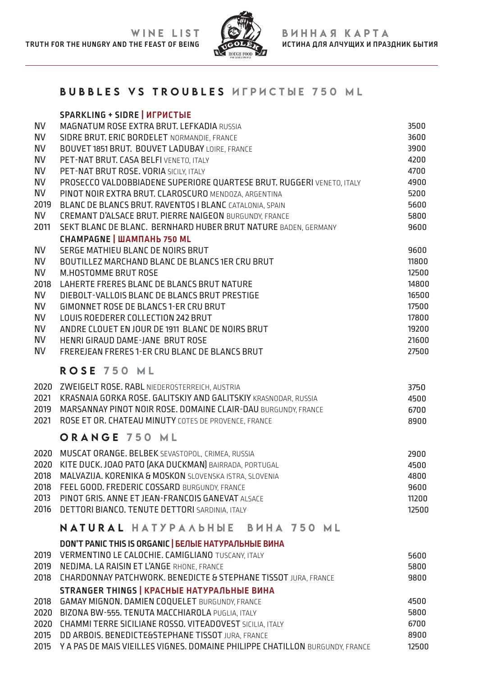

## BUBBLES VS TROUBLES ИГРИCТЫЕ 750 ML

|              | <b>SPARKLING + SIDRE   ИГРИСТЫЕ</b>                                                                                   |       |
|--------------|-----------------------------------------------------------------------------------------------------------------------|-------|
| <b>NV</b>    | MAGNATUM ROSE EXTRA BRUT. LEFKADIA RUSSIA                                                                             | 3500  |
| <b>NV</b>    | SIDRE BRUT. ERIC BORDELET NORMANDIE, FRANCE                                                                           | 3600  |
| <b>NV</b>    | BOUVET 1851 BRUT. BOUVET LADUBAY LOIRE, FRANCE                                                                        | 3900  |
| <b>NV</b>    | PET-NAT BRUT. CASA BELFI VENETO, ITALY                                                                                | 4200  |
| <b>NV</b>    | PET-NAT BRUT ROSE. VORIA SICILY, ITALY                                                                                | 4700  |
| <b>NV</b>    | PROSECCO VALDOBBIADENE SUPERIORE QUARTESE BRUT. RUGGERI VENETO, ITALY                                                 | 4900  |
| <b>NV</b>    | PINOT NOIR EXTRA BRUT. CLAROSCURO MENDOZA, ARGENTINA                                                                  | 5200  |
| 2019         | BLANC DE BLANCS BRUT. RAVENTOS I BLANC CATALONIA, SPAIN                                                               | 5600  |
| <b>NV</b>    | <b>CREMANT D'ALSACE BRUT. PIERRE NAIGEON BURGUNDY, FRANCE</b>                                                         | 5800  |
| 2011         | SEKT BLANC DE BLANC. BERNHARD HUBER BRUT NATURE BADEN, GERMANY                                                        | 9600  |
|              | <b>CHAMPAGNE   ШАМПАНЬ 750 ML</b>                                                                                     |       |
| <b>NV</b>    | SERGE MATHIEU BLANC DE NOIRS BRUT                                                                                     | 9600  |
| <b>NV</b>    | BOUTILLEZ MARCHAND BLANC DE BLANCS 1ER CRU BRUT                                                                       | 11800 |
| <b>NV</b>    | <b>M.HOSTOMME BRUT ROSE</b>                                                                                           | 12500 |
| 2018         | LAHERTE FRERES BLANC DE BLANCS BRUT NATURE                                                                            | 14800 |
| <b>NV</b>    | DIEBOLT-VALLOIS BLANC DE BLANCS BRUT PRESTIGE                                                                         | 16500 |
| <b>NV</b>    | <b>GIMONNET ROSE DE BLANCS 1-ER CRU BRUT</b>                                                                          | 17500 |
| <b>NV</b>    | LOUIS ROEDERER COLLECTION 242 BRUT                                                                                    | 17800 |
| <b>NV</b>    | ANDRE CLOUET EN JOUR DE 1911 BLANC DE NOIRS BRUT                                                                      | 19200 |
| <b>NV</b>    | HENRI GIRAUD DAME-JANE BRUT ROSE                                                                                      | 21600 |
| <b>NV</b>    | FREREJEAN FRERES 1-ER CRU BLANC DE BLANCS BRUT                                                                        | 27500 |
|              | ROSE 750 ML                                                                                                           |       |
|              |                                                                                                                       |       |
| 2020         | ZWEIGELT ROSE. RABL NIEDEROSTERREICH, AUSTRIA                                                                         | 3750  |
| 2021         | KRASNAIA GORKA ROSE. GALITSKIY AND GALITSKIY KRASNODAR, RUSSIA                                                        | 4500  |
| 2019<br>2021 | MARSANNAY PINOT NOIR ROSE. DOMAINE CLAIR-DAU BURGUNDY, FRANCE<br>ROSE ET OR. CHATEAU MINUTY COTES DE PROVENCE, FRANCE | 6700  |
|              |                                                                                                                       | 8900  |
|              | ORANGE 750 ML                                                                                                         |       |
|              | 2020 MUSCAT ORANGE. BELBEK SEVASTOPOL, CRIMEA, RUSSIA                                                                 | 2900  |
|              | 2020 KITE DUCK. JOAO PATO (AKA DUCKMAN) BAIRRADA, PORTUGAL                                                            | 4500  |
| 2018         | MALVAZIJA. KORENIKA & MOSKON SLOVENSKA ISTRA, SLOVENIA                                                                | 4800  |
| 2018         | FEEL GOOD. FREDERIC COSSARD BURGUNDY, FRANCE                                                                          | 9600  |
| 2013         | PINOT GRIS. ANNE ET JEAN-FRANCOIS GANEVAT ALSACE                                                                      | 11200 |
| 2016         | DETTORI BIANCO. TENUTE DETTORI SARDINIA, ITALY                                                                        | 12500 |
|              | NATURAL HATYPAADHDE BUHA 750 ML                                                                                       |       |
|              | DON'T PANIC THIS IS ORGANIC   БЕЛЫЕ НАТУРАЛЬНЫЕ ВИНА                                                                  |       |
| 2019         | VERMENTINO LE CALOCHIE. CAMIGLIANO TUSCANY, ITALY                                                                     | 5600  |
| 2019         | NEDJMA. LA RAISIN ET L'ANGE RHONE, FRANCE                                                                             | 5800  |
| 2018         | CHARDONNAY PATCHWORK. BENEDICTE & STEPHANE TISSOT JURA, FRANCE                                                        | 9800  |
|              | <b>STRANGER THINGS   КРАСНЫЕ НАТУРАЛЬНЫЕ ВИНА</b>                                                                     |       |
|              | 2018 GAMAY MIGNON. DAMIEN COQUELET BURGUNDY, FRANCE                                                                   | 4500  |

- 2018 GAMAY MIGNON. DAMIEN COQUELET BURGUNDY, FRANCE
- 2020 BIZONA BW-555. TENUTA MACCHIAROLA PUGLIA, ITALY
- 2020 CHAMMI TERRE SICILIANE ROSSO. VITEADOVEST SICILIA, ITALY 2015 DD ARBOIS. BENEDICTE&STEPHANE TISSOT JURA, FRANCE
- 2015 Y A PAS DE MAIS VIEILLES VIGNES. DOMAINE PHILIPPE CHATILLON BURGUNDY, FRANCE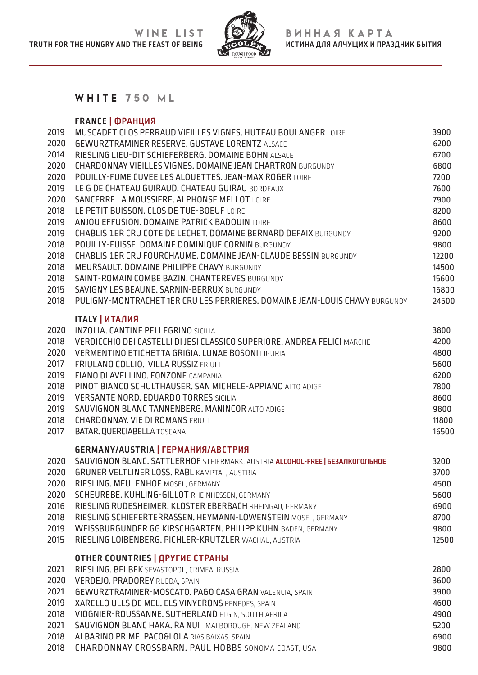

### WHITE 750 ML

### **FRANCE | ФРАНЦИЯ**

| 2019         | MUSCADET CLOS PERRAUD VIEILLES VIGNES. HUTEAU BOULANGER LOIRE                              | 3900          |
|--------------|--------------------------------------------------------------------------------------------|---------------|
| 2020         | <b>GEWURZTRAMINER RESERVE. GUSTAVE LORENTZ ALSACE</b>                                      | 6200          |
| 2014         | RIESLING LIEU-DIT SCHIEFERBERG. DOMAINE BOHN ALSACE                                        | 6700          |
| 2020         | <b>CHARDONNAY VIEILLES VIGNES. DOMAINE JEAN CHARTRON BURGUNDY</b>                          | 6800          |
| 2020         | POUILLY-FUME CUVEE LES ALOUETTES. JEAN-MAX ROGER LOIRE                                     | 7200          |
| 2019         | LE G DE CHATEAU GUIRAUD. CHATEAU GUIRAU BORDEAUX                                           | 7600          |
| 2020         | SANCERRE LA MOUSSIERE, ALPHONSE MELLOT LOIRE                                               | 7900          |
| 2018         | LE PETIT BUISSON. CLOS DE TUE-BOEUF LOIRE                                                  | 8200          |
| 2019         | ANJOU EFFUSION. DOMAINE PATRICK BADOUIN LOIRE                                              | 8600          |
| 2019         | <b>CHABLIS 1ER CRU COTE DE LECHET, DOMAINE BERNARD DEFAIX BURGUNDY</b>                     | 9200          |
| 2018         | POUILLY-FUISSE. DOMAINE DOMINIQUE CORNIN BURGUNDY                                          | 9800          |
| 2018         | <b>CHABLIS 1ER CRU FOURCHAUME. DOMAINE JEAN-CLAUDE BESSIN BURGUNDY</b>                     | 12200         |
| 2018         | MEURSAULT. DOMAINE PHILIPPE CHAVY BURGUNDY                                                 | 14500         |
| 2018         | SAINT-ROMAIN COMBE BAZIN. CHANTEREVES BURGUNDY                                             | 15600         |
| 2015         | SAVIGNY LES BEAUNE, SARNIN-BERRUX BURGUNDY                                                 | 16800         |
| 2018         | PULIGNY-MONTRACHET 1ER CRU LES PERRIERES. DOMAINE JEAN-LOUIS CHAVY BURGUNDY                | 24500         |
|              |                                                                                            |               |
|              | <b>ITALY   ИТАЛИЯ</b>                                                                      |               |
| 2020         | <b>INZOLIA. CANTINE PELLEGRINO SICILIA</b>                                                 | 3800          |
| 2018         | VERDICCHIO DEI CASTELLI DI JESI CLASSICO SUPERIORE. ANDREA FELICI MARCHE                   | 4200          |
| 2020         | VERMENTINO ETICHETTA GRIGIA. LUNAE BOSONI LIGURIA                                          | 4800          |
| 2017         | FRIULANO COLLIO. VILLA RUSSIZ FRIULI                                                       | 5600          |
| 2019         | FIANO DI AVELLINO. FONZONE CAMPANIA                                                        | 6200          |
| 2018         | PINOT BIANCO SCHULTHAUSER. SAN MICHELE-APPIANO ALTO ADIGE                                  | 7800          |
| 2019<br>2019 | <b>VERSANTE NORD. EDUARDO TORRES SICILIA</b>                                               | 8600          |
| 2018         | SAUVIGNON BLANC TANNENBERG. MANINCOR ALTO ADIGE<br><b>CHARDONNAY, VIE DI ROMANS FRIULI</b> | 9800<br>11800 |
| 2017         | BATAR. QUERCIABELLA TOSCANA                                                                | 16500         |
|              |                                                                                            |               |
|              | GERMANY/AUSTRIA   ГЕРМАНИЯ/АВСТРИЯ                                                         |               |
| 2020         | SAUVIGNON BLANC. SATTLERHOF STEIERMARK, AUSTRIA ALCOHOL-FREE   BE3AJIKOFOJIBHOE            | 3200          |
| 2020         | <b>GRUNER VELTLINER LOSS. RABL KAMPTAL, AUSTRIA</b>                                        | 3700          |
| 2020         | RIESLING. MEULENHOF MOSEL, GERMANY                                                         | 4500          |
| 2020         | SCHEUREBE. KUHLING-GILLOT RHEINHESSEN, GERMANY                                             | 5600          |
| 2016         | RIESLING RUDESHEIMER. KLOSTER EBERBACH RHEINGAU, GERMANY                                   | 6900          |
| 2018         | RIESLING SCHIEFERTERRASSEN. HEYMANN-LOWENSTEIN MOSEL, GERMANY                              | 8700          |
| 2019         | WEISSBURGUNDER GG KIRSCHGARTEN. PHILIPP KUHN BADEN, GERMANY                                | 9800          |
| 2015         | RIESLING LOIBENBERG. PICHLER-KRUTZLER WACHAU, AUSTRIA                                      | 12500         |
|              | <b>OTHER COUNTRIES   APYFUE CTPAHbI</b>                                                    |               |
| 2021         | RIESLING. BELBEK SEVASTOPOL, CRIMEA, RUSSIA                                                | 2800          |
| 2020         | VERDEJO. PRADOREY RUEDA, SPAIN                                                             | 3600          |
| 2021         | GEWURZTRAMINER-MOSCATO. PAGO CASA GRAN VALENCIA, SPAIN                                     | 3900          |
| 2019         | XARELLO ULLS DE MEL. ELS VINYERONS PENEDES, SPAIN                                          | 4600          |
| 2018         | VIOGNIER-ROUSSANNE. SUTHERLAND ELGIN, SOUTH AFRICA                                         | 4900          |
| 2021         | SAUVIGNON BLANC HAKA, RA NUI MALBOROUGH, NEW ZEALAND                                       | 5200          |
| 2018         | ALBARINO PRIME. PACO&LOLA RIAS BAIXAS, SPAIN                                               | 6900          |
| 2018         | CHARDONNAY CROSSBARN. PAUL HOBBS SONOMA COAST, USA                                         | 9800          |
|              |                                                                                            |               |